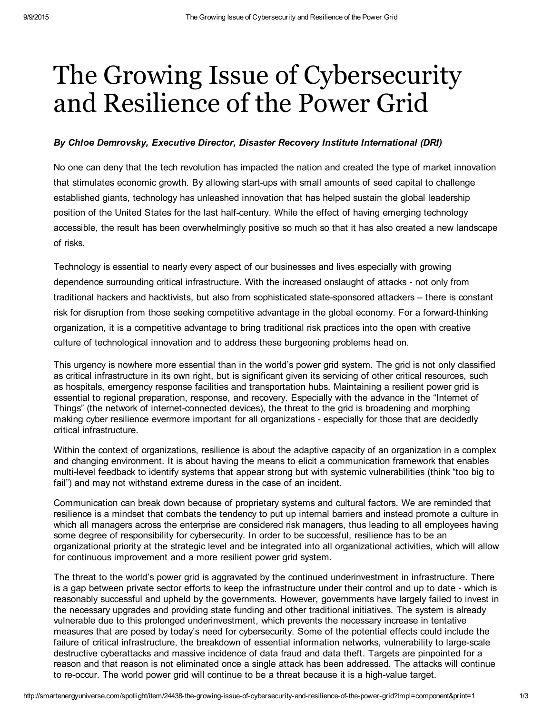## The Growing Issue of Cybersecurity and Resilience of the Power Grid

## *By Chloe Demrovsky, Executive Director, Disaster Recovery Institute International (DRI)*

No one can deny that the tech revolution has impacted the nation and created the type of market innovation that stimulates economic growth. By allowing start-ups with small amounts of seed capital to challenge established giants, technology has unleashed innovation that has helped sustain the global leadership position of the United States for the last half-century. While the effect of having emerging technology accessible, the result has been overwhelmingly positive so much so that it has also created a new landscape of risks.

Technology is essential to nearly every aspect of our businesses and lives especially with growing dependence surrounding critical infrastructure. With the increased onslaught of attacks - not only from traditional hackers and hacktivists, but also from sophisticated state-sponsored attackers – there is constant risk for disruption from those seeking competitive advantage in the global economy. For a forward-thinking organization, it is a competitive advantage to bring traditional risk practices into the open with creative culture of technological innovation and to address these burgeoning problems head on.

This urgency is nowhere more essential than in the world's power grid system. The grid is not only classified as critical infrastructure in its own right, but is significant given its servicing of other critical resources, such as hospitals, emergency response facilities and transportation hubs. Maintaining a resilient power grid is essential to regional preparation, response, and recovery. Especially with the advance in the "Internet of Things" (the network of internet-connected devices), the threat to the grid is broadening and morphing making cyber resilience evermore important for all organizations - especially for those that are decidedly critical infrastructure.

Within the context of organizations, resilience is about the adaptive capacity of an organization in a complex and changing environment. It is about having the means to elicit a communication framework that enables multi-level feedback to identify systems that appear strong but with systemic vulnerabilities (think "too big to fail") and may not withstand extreme duress in the case of an incident.

Communication can break down because of proprietary systems and cultural factors. We are reminded that resilience is a mindset that combats the tendency to put up internal barriers and instead promote a culture in which all managers across the enterprise are considered risk managers, thus leading to all employees having some degree of responsibility for cybersecurity. In order to be successful, resilience has to be an organizational priority at the strategic level and be integrated into all organizational activities, which will allow for continuous improvement and a more resilient power grid system.

The threat to the world's power grid is aggravated by the continued underinvestment in infrastructure. There is a gap between private sector efforts to keep the infrastructure under their control and up to date - which is reasonably successful and upheld by the governments. However, governments have largely failed to invest in the necessary upgrades and providing state funding and other traditional initiatives. The system is already vulnerable due to this prolonged underinvestment, which prevents the necessary increase in tentative measures that are posed by today's need for cybersecurity. Some of the potential effects could include the failure of critical infrastructure, the breakdown of essential information networks, vulnerability to large-scale destructive cyberattacks and massive incidence of data fraud and data theft. Targets are pinpointed for a reason and that reason is not eliminated once a single attack has been addressed. The attacks will continue to re-occur. The world power grid will continue to be a threat because it is a high-value target.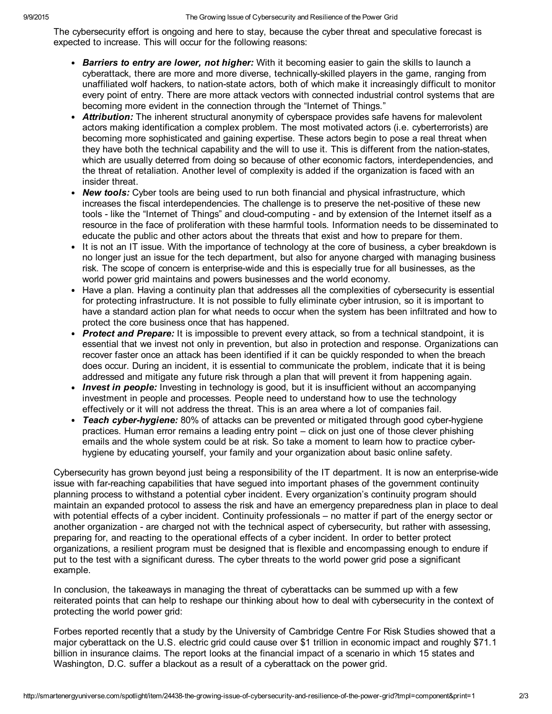The cybersecurity effort is ongoing and here to stay, because the cyber threat and speculative forecast is expected to increase. This will occur for the following reasons:

- *Barriers to entry are lower, not higher:* With it becoming easier to gain the skills to launch a cyberattack, there are more and more diverse, technicallyskilled players in the game, ranging from unaffiliated wolf hackers, to nation-state actors, both of which make it increasingly difficult to monitor every point of entry. There are more attack vectors with connected industrial control systems that are becoming more evident in the connection through the "Internet of Things."
- *Attribution:* The inherent structural anonymity of cyberspace provides safe havens for malevolent actors making identification a complex problem. The most motivated actors (i.e. cyberterrorists) are becoming more sophisticated and gaining expertise. These actors begin to pose a real threat when they have both the technical capability and the will to use it. This is different from the nation-states, which are usually deterred from doing so because of other economic factors, interdependencies, and the threat of retaliation. Another level of complexity is added if the organization is faced with an insider threat.
- *New tools:* Cyber tools are being used to run both financial and physical infrastructure, which increases the fiscal interdependencies. The challenge is to preserve the net-positive of these new tools - like the "Internet of Things" and cloud-computing - and by extension of the Internet itself as a resource in the face of proliferation with these harmful tools. Information needs to be disseminated to educate the public and other actors about the threats that exist and how to prepare for them.
- It is not an IT issue. With the importance of technology at the core of business, a cyber breakdown is no longer just an issue for the tech department, but also for anyone charged with managing business risk. The scope of concern is enterprise-wide and this is especially true for all businesses, as the world power grid maintains and powers businesses and the world economy.
- Have a plan. Having a continuity plan that addresses all the complexities of cybersecurity is essential for protecting infrastructure. It is not possible to fully eliminate cyber intrusion, so it is important to have a standard action plan for what needs to occur when the system has been infiltrated and how to protect the core business once that has happened.
- *Protect and Prepare:* It is impossible to prevent every attack, so from a technical standpoint, it is essential that we invest not only in prevention, but also in protection and response. Organizations can recover faster once an attack has been identified if it can be quickly responded to when the breach does occur. During an incident, it is essential to communicate the problem, indicate that it is being addressed and mitigate any future risk through a plan that will prevent it from happening again.
- *Invest in people:* Investing in technology is good, but it is insufficient without an accompanying investment in people and processes. People need to understand how to use the technology effectively or it will not address the threat. This is an area where a lot of companies fail.
- *Teach cyberhygiene:* 80% of attacks can be prevented or mitigated through good cyberhygiene practices. Human error remains a leading entry point – click on just one of those clever phishing emails and the whole system could be at risk. So take a moment to learn how to practice cyberhygiene by educating yourself, your family and your organization about basic online safety.

Cybersecurity has grown beyond just being a responsibility of the IT department. It is now an enterprise-wide issue with far-reaching capabilities that have segued into important phases of the government continuity planning process to withstand a potential cyber incident. Every organization's continuity program should maintain an expanded protocol to assess the risk and have an emergency preparedness plan in place to deal with potential effects of a cyber incident. Continuity professionals – no matter if part of the energy sector or another organization - are charged not with the technical aspect of cybersecurity, but rather with assessing, preparing for, and reacting to the operational effects of a cyber incident. In order to better protect organizations, a resilient program must be designed that is flexible and encompassing enough to endure if put to the test with a significant duress. The cyber threats to the world power grid pose a significant example.

In conclusion, the takeaways in managing the threat of cyberattacks can be summed up with a few reiterated points that can help to reshape our thinking about how to deal with cybersecurity in the context of protecting the world power grid:

Forbes reported recently that a study by the University of Cambridge Centre For Risk Studies showed that a major cyberattack on the U.S. electric grid could cause over \$1 trillion in economic impact and roughly \$71.1 billion in insurance claims. The report looks at the financial impact of a scenario in which 15 states and Washington, D.C. suffer a blackout as a result of a cyberattack on the power grid.